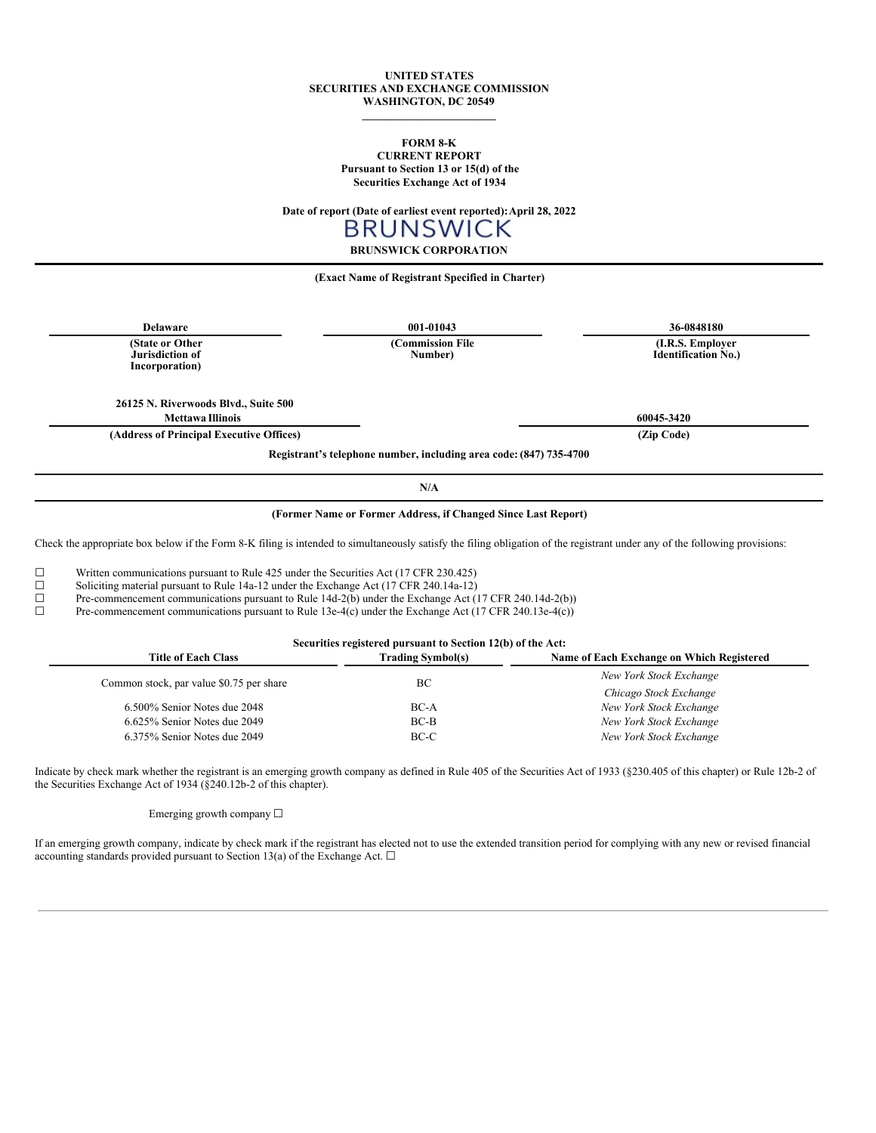#### **UNITED STATES SECURITIES AND EXCHANGE COMMISSION WASHINGTON, DC 20549 \_\_\_\_\_\_\_\_\_\_\_\_\_\_\_\_\_\_\_\_\_\_\_\_**

#### **FORM 8-K CURRENT REPORT Pursuant to Section 13 or 15(d) of the Securities Exchange Act of 1934**

## **Date of report (Date of earliest event reported):April 28, 2022**

# **BRUNSWICK**

## **BRUNSWICK CORPORATION**

## **(Exact Name of Registrant Specified in Charter)**

**Delaware 001-01043 36-0848180 (State or Other Jurisdiction of Incorporation) (Commission File Number) (I.R.S. Employer Identification No.) 26125 N. Riverwoods Blvd., Suite 500 Mettawa Illinois 60045-3420 (Address of Principal Executive Offices) (Zip Code) Registrant's telephone number, including area code: (847) 735-4700 N/A**

#### **(Former Name or Former Address, if Changed Since Last Report)**

Check the appropriate box below if the Form 8-K filing is intended to simultaneously satisfy the filing obligation of the registrant under any of the following provisions:

 $\Box$  Written communications pursuant to Rule 425 under the Securities Act (17 CFR 230.425) Soliciting material pursuant to Rule 14a-12 under the Exchange Act (17 CFR 240.14a-12)

<del>□</del> Soliciting material pursuant to Rule 14a-12 under the Exchange Act (17 CFR 240.14a-12)<br>Pre-commencement communications pursuant to Rule 14d-2(b) under the Exchange Act (1

 $\Box$  Pre-commencement communications pursuant to Rule 14d-2(b) under the Exchange Act (17 CFR 240.14d-2(b))<br>Pre-commencement communications pursuant to Rule 13e-4(c) under the Exchange Act (17 CFR 240.13e-4(c))

Pre-commencement communications pursuant to Rule 13e-4(c) under the Exchange Act (17 CFR 240.13e-4(c))

| Securities registered pursuant to Section 12(b) of the Act: |                          |                                           |  |  |  |  |  |
|-------------------------------------------------------------|--------------------------|-------------------------------------------|--|--|--|--|--|
| <b>Title of Each Class</b>                                  | <b>Trading Symbol(s)</b> | Name of Each Exchange on Which Registered |  |  |  |  |  |
| Common stock, par value \$0.75 per share                    | ВC                       | New York Stock Exchange                   |  |  |  |  |  |
|                                                             |                          | Chicago Stock Exchange                    |  |  |  |  |  |
| 6.500% Senior Notes due 2048                                | BC-A                     | New York Stock Exchange                   |  |  |  |  |  |
| 6.625% Senior Notes due 2049                                | BC-B                     | New York Stock Exchange                   |  |  |  |  |  |
| 6.375% Senior Notes due 2049                                | $BC-C$                   | New York Stock Exchange                   |  |  |  |  |  |

Indicate by check mark whether the registrant is an emerging growth company as defined in Rule 405 of the Securities Act of 1933 (§230.405 of this chapter) or Rule 12b-2 of the Securities Exchange Act of 1934 (§240.12b-2 of this chapter).

#### Emerging growth company ☐

If an emerging growth company, indicate by check mark if the registrant has elected not to use the extended transition period for complying with any new or revised financial accounting standards provided pursuant to Section 13(a) of the Exchange Act.  $\Box$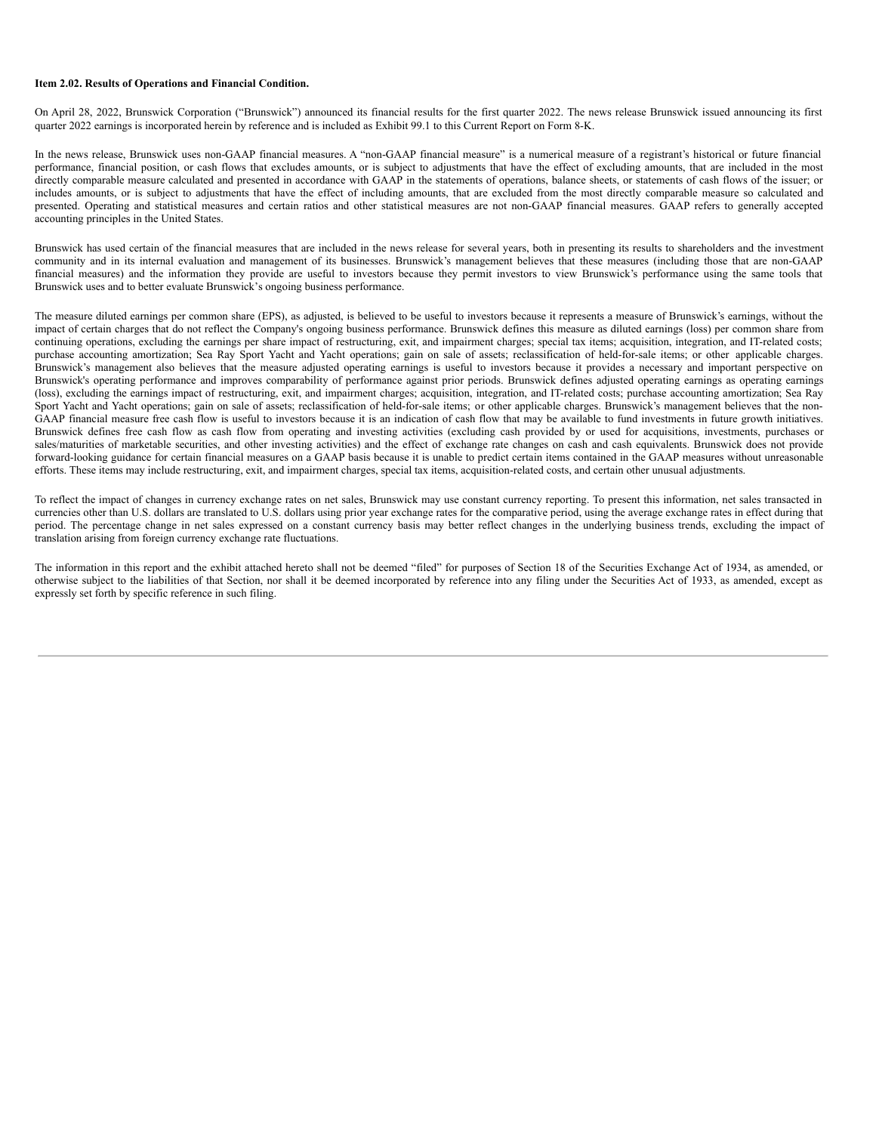#### **Item 2.02. Results of Operations and Financial Condition.**

On April 28, 2022, Brunswick Corporation ("Brunswick") announced its financial results for the first quarter 2022. The news release Brunswick issued announcing its first quarter 2022 earnings is incorporated herein by reference and is included as Exhibit 99.1 to this Current Report on Form 8-K.

In the news release, Brunswick uses non-GAAP financial measures. A "non-GAAP financial measure" is a numerical measure of a registrant's historical or future financial performance, financial position, or cash flows that excludes amounts, or is subject to adjustments that have the effect of excluding amounts, that are included in the most directly comparable measure calculated and presented in accordance with GAAP in the statements of operations, balance sheets, or statements of cash flows of the issuer; or includes amounts, or is subject to adjustments that have the effect of including amounts, that are excluded from the most directly comparable measure so calculated and presented. Operating and statistical measures and certain ratios and other statistical measures are not non-GAAP financial measures. GAAP refers to generally accepted accounting principles in the United States.

Brunswick has used certain of the financial measures that are included in the news release for several years, both in presenting its results to shareholders and the investment community and in its internal evaluation and management of its businesses. Brunswick's management believes that these measures (including those that are non-GAAP financial measures) and the information they provide are useful to investors because they permit investors to view Brunswick's performance using the same tools that Brunswick uses and to better evaluate Brunswick's ongoing business performance.

The measure diluted earnings per common share (EPS), as adjusted, is believed to be useful to investors because it represents a measure of Brunswick's earnings, without the impact of certain charges that do not reflect the Company's ongoing business performance. Brunswick defines this measure as diluted earnings (loss) per common share from continuing operations, excluding the earnings per share impact of restructuring, exit, and impairment charges; special tax items; acquisition, integration, and IT-related costs; purchase accounting amortization; Sea Ray Sport Yacht and Yacht operations; gain on sale of assets; reclassification of held-for-sale items; or other applicable charges. Brunswick's management also believes that the measure adjusted operating earnings is useful to investors because it provides a necessary and important perspective on Brunswick's operating performance and improves comparability of performance against prior periods. Brunswick defines adjusted operating earnings as operating earnings (loss), excluding the earnings impact of restructuring, exit, and impairment charges; acquisition, integration, and IT-related costs; purchase accounting amortization; Sea Ray Sport Yacht and Yacht operations; gain on sale of assets; reclassification of held-for-sale items; or other applicable charges. Brunswick's management believes that the non-GAAP financial measure free cash flow is useful to investors because it is an indication of cash flow that may be available to fund investments in future growth initiatives. Brunswick defines free cash flow as cash flow from operating and investing activities (excluding cash provided by or used for acquisitions, investments, purchases or sales/maturities of marketable securities, and other investing activities) and the effect of exchange rate changes on cash and cash equivalents. Brunswick does not provide forward-looking guidance for certain financial measures on a GAAP basis because it is unable to predict certain items contained in the GAAP measures without unreasonable efforts. These items may include restructuring, exit, and impairment charges, special tax items, acquisition-related costs, and certain other unusual adjustments.

To reflect the impact of changes in currency exchange rates on net sales, Brunswick may use constant currency reporting. To present this information, net sales transacted in currencies other than U.S. dollars are translated to U.S. dollars using prior year exchange rates for the comparative period, using the average exchange rates in effect during that period. The percentage change in net sales expressed on a constant currency basis may better reflect changes in the underlying business trends, excluding the impact of translation arising from foreign currency exchange rate fluctuations.

The information in this report and the exhibit attached hereto shall not be deemed "filed" for purposes of Section 18 of the Securities Exchange Act of 1934, as amended, or otherwise subject to the liabilities of that Section, nor shall it be deemed incorporated by reference into any filing under the Securities Act of 1933, as amended, except as expressly set forth by specific reference in such filing.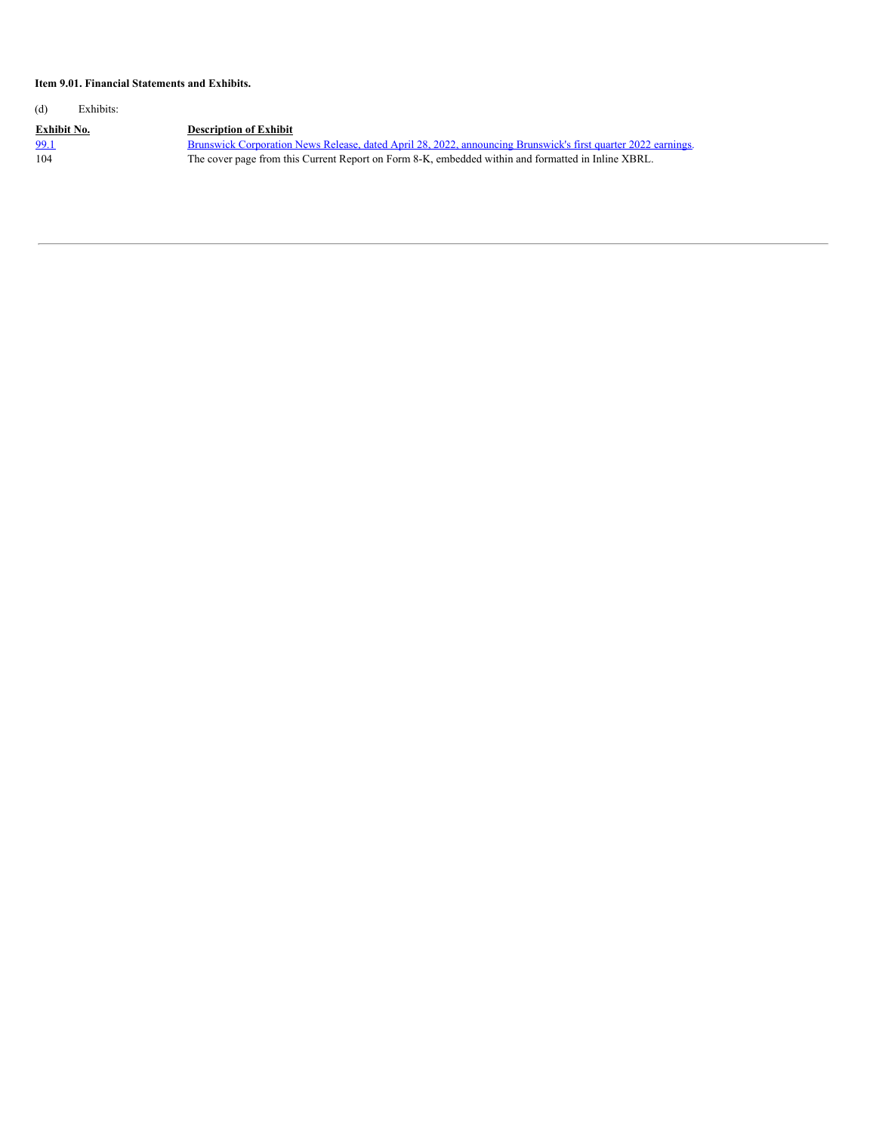#### **Item 9.01. Financial Statements and Exhibits.**

(d) Exhibits: **Exhibit No. Description of Exhibit** [99.1](#page-10-0) Brunswick Corporation News Release, dated April 28, 2022, announcing [Brunswick's](#page-10-0) first quarter 2022 earnings. 104 The cover page from this Current Report on Form 8-K, embedded within and formatted in Inline XBRL.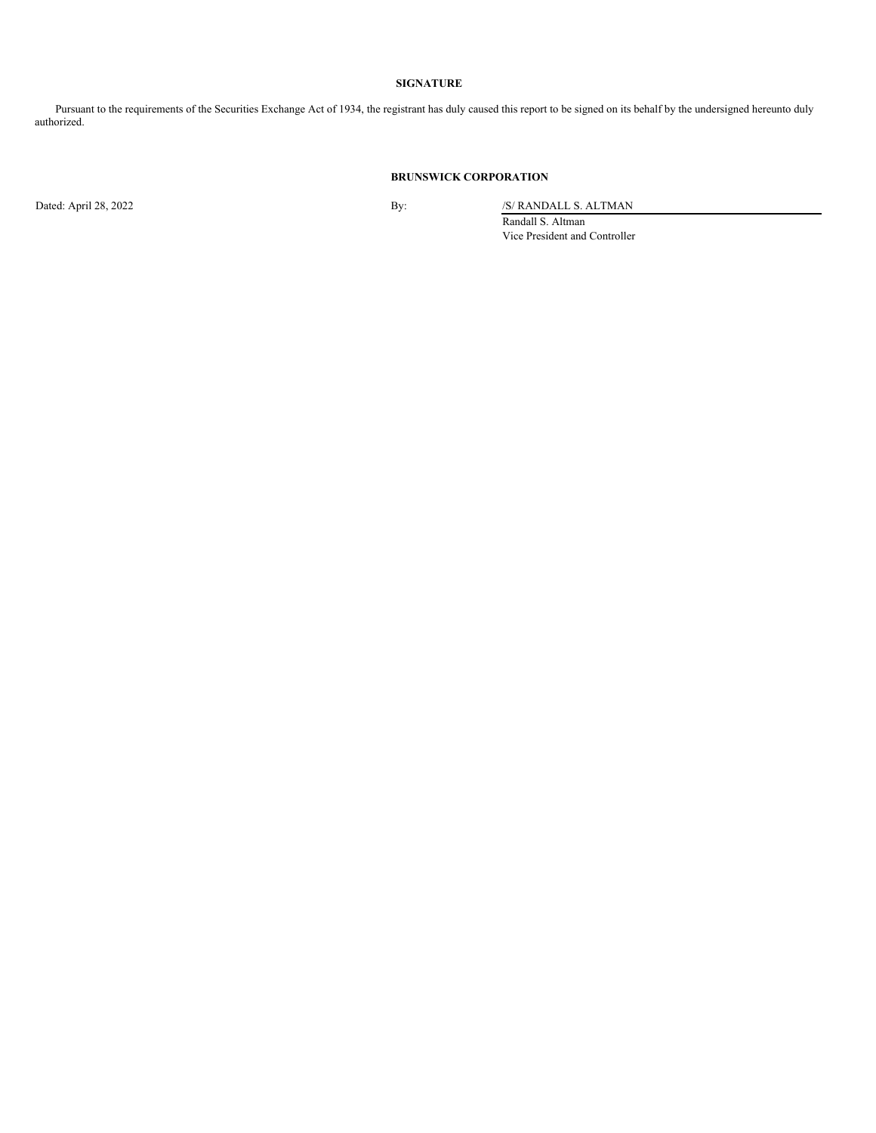#### **SIGNATURE**

Pursuant to the requirements of the Securities Exchange Act of 1934, the registrant has duly caused this report to be signed on its behalf by the undersigned hereunto duly authorized.

## **BRUNSWICK CORPORATION**

Dated: April 28, 2022 By: /S/ RANDALL S. ALTMAN

Randall S. Altman Vice President and Controller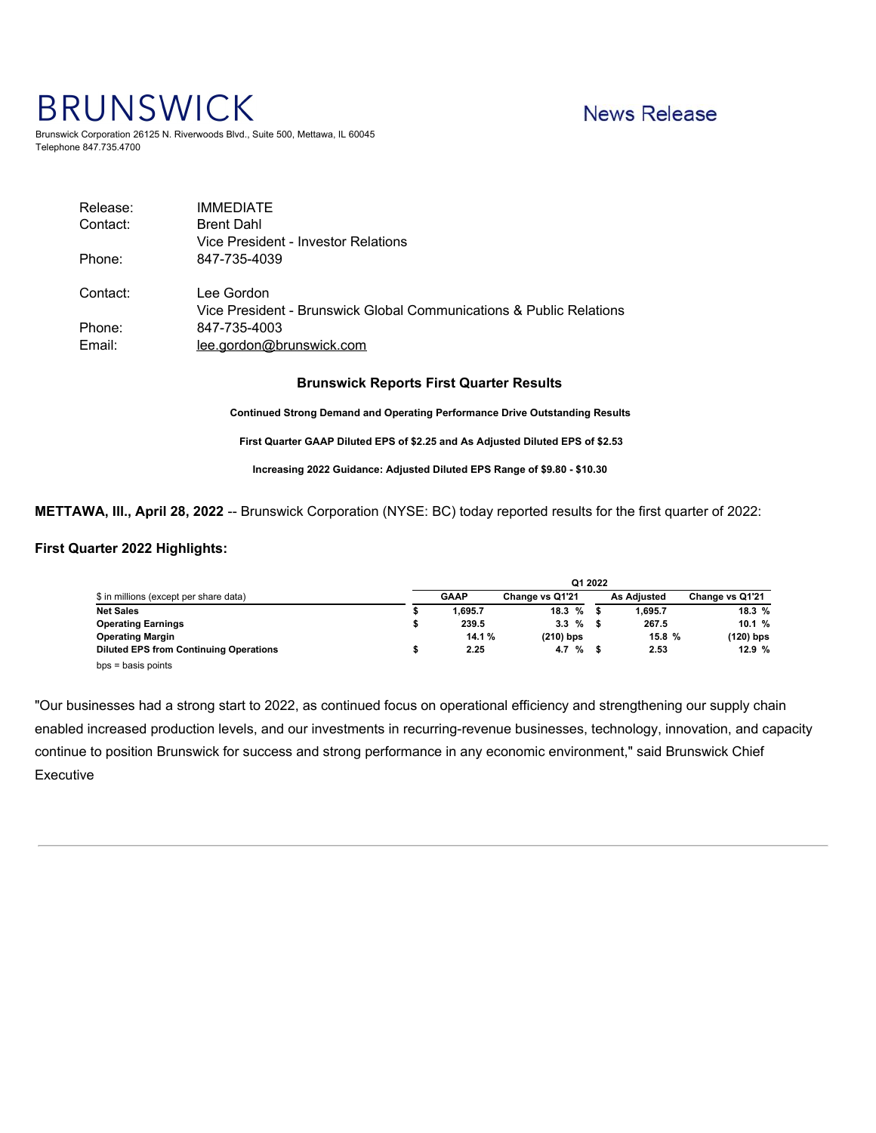# **BRUNSWICK**

# **News Release**

Brunswick Corporation 26125 N. Riverwoods Blvd., Suite 500, Mettawa, IL 60045 Telephone 847.735.4700

| <b>IMMEDIATE</b>                                                                  |
|-----------------------------------------------------------------------------------|
| <b>Brent Dahl</b>                                                                 |
| Vice President - Investor Relations                                               |
| 847-735-4039                                                                      |
| Lee Gordon<br>Vice President - Brunswick Global Communications & Public Relations |
| 847-735-4003                                                                      |
| lee.gordon@brunswick.com                                                          |
|                                                                                   |

## **Brunswick Reports First Quarter Results**

**Continued Strong Demand and Operating Performance Drive Outstanding Results**

**First Quarter GAAP Diluted EPS of \$2.25 and As Adjusted Diluted EPS of \$2.53**

**Increasing 2022 Guidance: Adjusted Diluted EPS Range of \$9.80 - \$10.30**

## **METTAWA, Ill., April 28, 2022** -- Brunswick Corporation (NYSE: BC) today reported results for the first quarter of 2022:

## **First Quarter 2022 Highlights:**

|                                               | Q1 2022 |             |                 |  |                    |                 |  |  |  |  |
|-----------------------------------------------|---------|-------------|-----------------|--|--------------------|-----------------|--|--|--|--|
| \$ in millions (except per share data)        |         | <b>GAAP</b> | Change vs Q1'21 |  | <b>As Adiusted</b> | Change vs Q1'21 |  |  |  |  |
| <b>Net Sales</b>                              |         | 1.695.7     | 18.3 %          |  | 1.695.7            | 18.3%           |  |  |  |  |
| <b>Operating Earnings</b>                     |         | 239.5       | $3.3\%$         |  | 267.5              | 10.1%           |  |  |  |  |
| <b>Operating Margin</b>                       |         | 14.1%       | $(210)$ bps     |  | 15.8%              | (120) bps       |  |  |  |  |
| <b>Diluted EPS from Continuing Operations</b> |         | 2.25        | 4.7 %           |  | 2.53               | 12.9%           |  |  |  |  |
| $bps = basis points$                          |         |             |                 |  |                    |                 |  |  |  |  |

"Our businesses had a strong start to 2022, as continued focus on operational efficiency and strengthening our supply chain enabled increased production levels, and our investments in recurring-revenue businesses, technology, innovation, and capacity continue to position Brunswick for success and strong performance in any economic environment," said Brunswick Chief Executive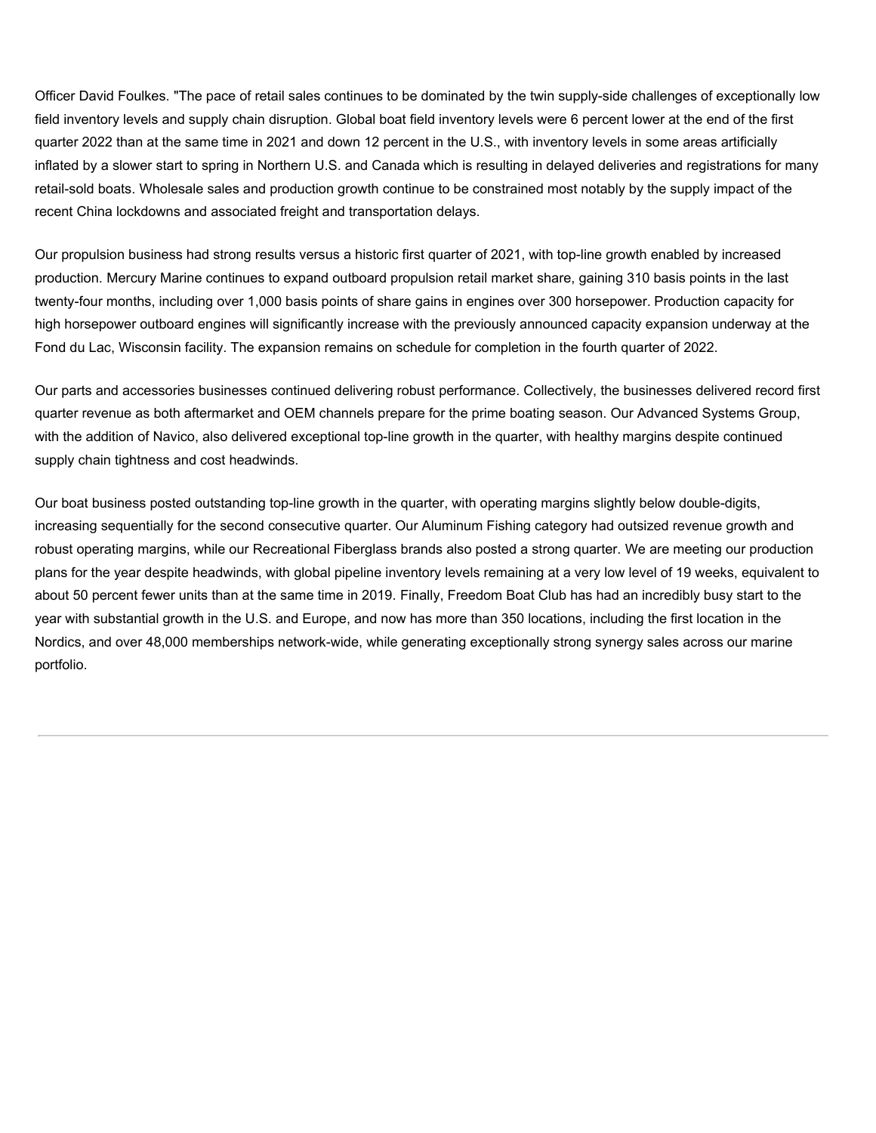Officer David Foulkes. "The pace of retail sales continues to be dominated by the twin supply-side challenges of exceptionally low field inventory levels and supply chain disruption. Global boat field inventory levels were 6 percent lower at the end of the first quarter 2022 than at the same time in 2021 and down 12 percent in the U.S., with inventory levels in some areas artificially inflated by a slower start to spring in Northern U.S. and Canada which is resulting in delayed deliveries and registrations for many retail-sold boats. Wholesale sales and production growth continue to be constrained most notably by the supply impact of the recent China lockdowns and associated freight and transportation delays.

Our propulsion business had strong results versus a historic first quarter of 2021, with top-line growth enabled by increased production. Mercury Marine continues to expand outboard propulsion retail market share, gaining 310 basis points in the last twenty-four months, including over 1,000 basis points of share gains in engines over 300 horsepower. Production capacity for high horsepower outboard engines will significantly increase with the previously announced capacity expansion underway at the Fond du Lac, Wisconsin facility. The expansion remains on schedule for completion in the fourth quarter of 2022.

Our parts and accessories businesses continued delivering robust performance. Collectively, the businesses delivered record first quarter revenue as both aftermarket and OEM channels prepare for the prime boating season. Our Advanced Systems Group, with the addition of Navico, also delivered exceptional top-line growth in the quarter, with healthy margins despite continued supply chain tightness and cost headwinds.

Our boat business posted outstanding top-line growth in the quarter, with operating margins slightly below double-digits, increasing sequentially for the second consecutive quarter. Our Aluminum Fishing category had outsized revenue growth and robust operating margins, while our Recreational Fiberglass brands also posted a strong quarter. We are meeting our production plans for the year despite headwinds, with global pipeline inventory levels remaining at a very low level of 19 weeks, equivalent to about 50 percent fewer units than at the same time in 2019. Finally, Freedom Boat Club has had an incredibly busy start to the year with substantial growth in the U.S. and Europe, and now has more than 350 locations, including the first location in the Nordics, and over 48,000 memberships network-wide, while generating exceptionally strong synergy sales across our marine portfolio.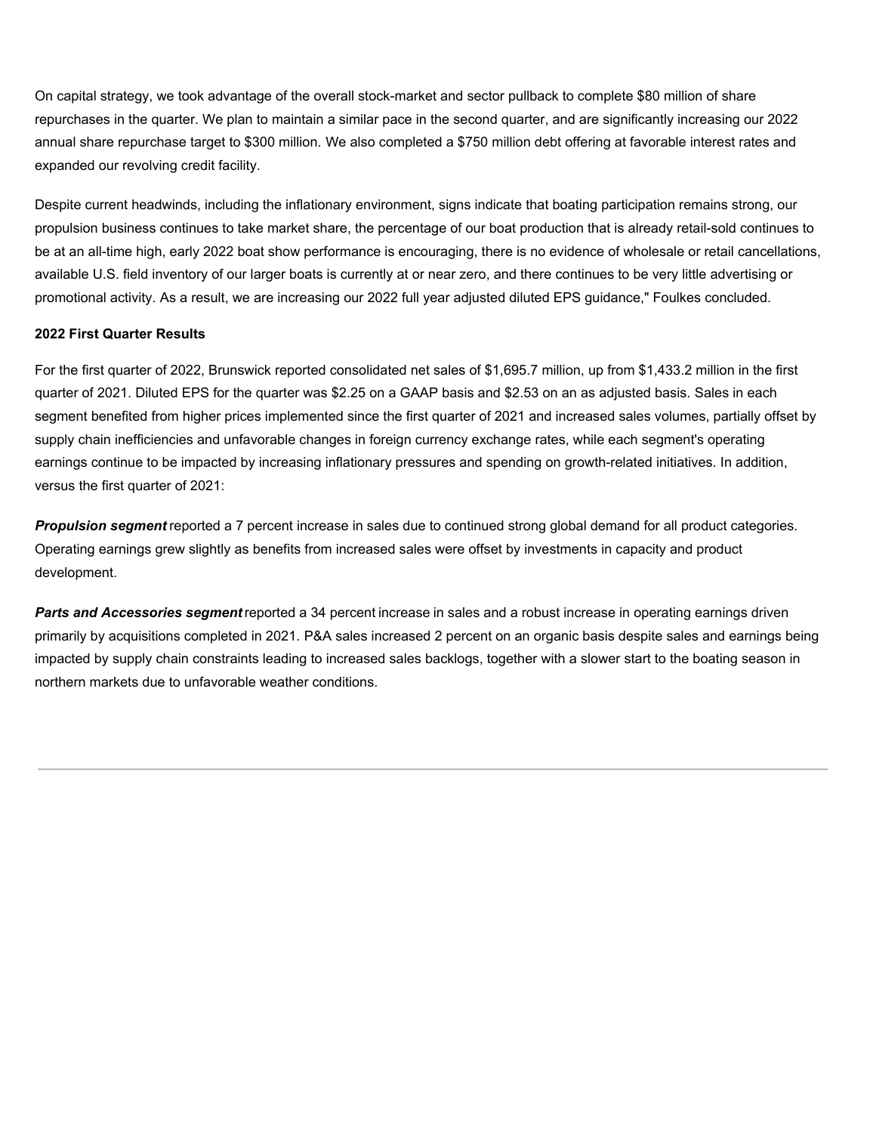On capital strategy, we took advantage of the overall stock-market and sector pullback to complete \$80 million of share repurchases in the quarter. We plan to maintain a similar pace in the second quarter, and are significantly increasing our 2022 annual share repurchase target to \$300 million. We also completed a \$750 million debt offering at favorable interest rates and expanded our revolving credit facility.

Despite current headwinds, including the inflationary environment, signs indicate that boating participation remains strong, our propulsion business continues to take market share, the percentage of our boat production that is already retail-sold continues to be at an all-time high, early 2022 boat show performance is encouraging, there is no evidence of wholesale or retail cancellations, available U.S. field inventory of our larger boats is currently at or near zero, and there continues to be very little advertising or promotional activity. As a result, we are increasing our 2022 full year adjusted diluted EPS guidance," Foulkes concluded.

## **2022 First Quarter Results**

For the first quarter of 2022, Brunswick reported consolidated net sales of \$1,695.7 million, up from \$1,433.2 million in the first quarter of 2021. Diluted EPS for the quarter was \$2.25 on a GAAP basis and \$2.53 on an as adjusted basis. Sales in each segment benefited from higher prices implemented since the first quarter of 2021 and increased sales volumes, partially offset by supply chain inefficiencies and unfavorable changes in foreign currency exchange rates, while each segment's operating earnings continue to be impacted by increasing inflationary pressures and spending on growth-related initiatives. In addition, versus the first quarter of 2021:

*Propulsion segment* reported a 7 percent increase in sales due to continued strong global demand for all product categories. Operating earnings grew slightly as benefits from increased sales were offset by investments in capacity and product development.

*Parts and Accessories segment* reported a 34 percent increase in sales and a robust increase in operating earnings driven primarily by acquisitions completed in 2021. P&A sales increased 2 percent on an organic basis despite sales and earnings being impacted by supply chain constraints leading to increased sales backlogs, together with a slower start to the boating season in northern markets due to unfavorable weather conditions.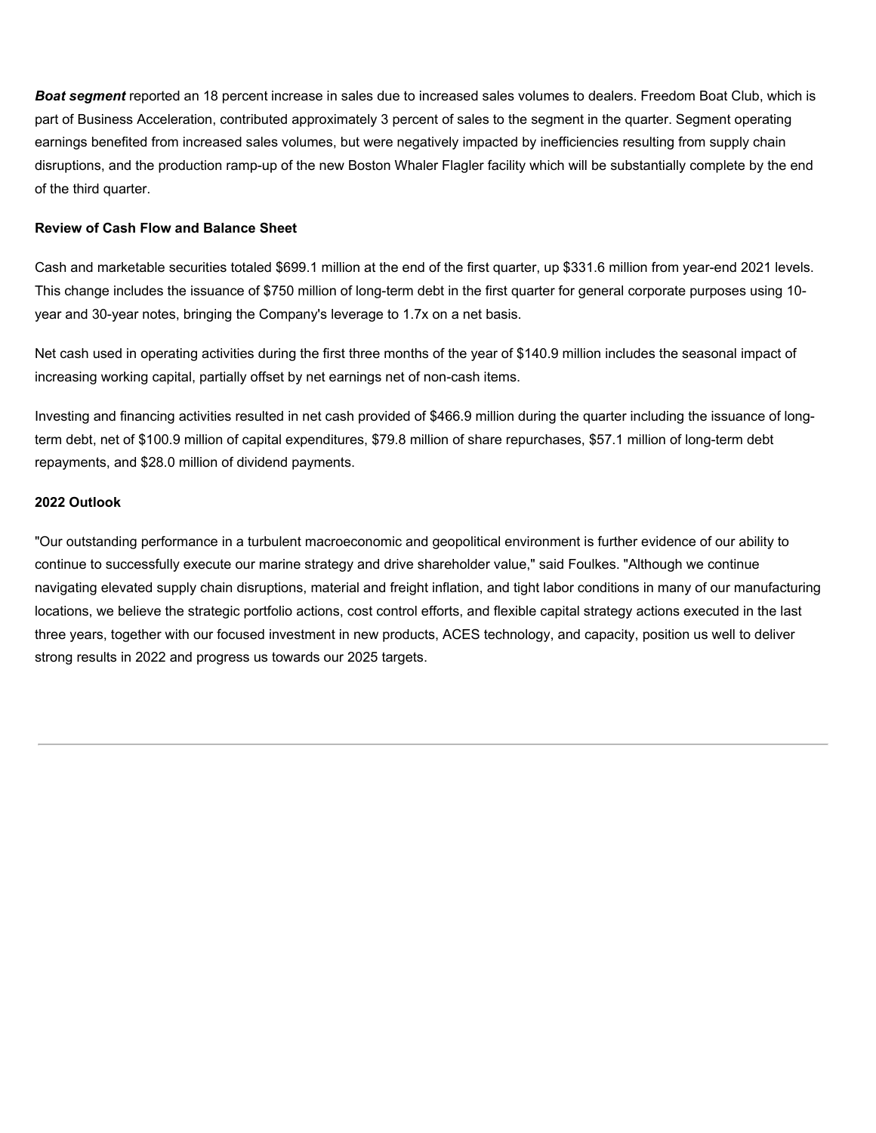*Boat segment* reported an 18 percent increase in sales due to increased sales volumes to dealers. Freedom Boat Club, which is part of Business Acceleration, contributed approximately 3 percent of sales to the segment in the quarter. Segment operating earnings benefited from increased sales volumes, but were negatively impacted by inefficiencies resulting from supply chain disruptions, and the production ramp-up of the new Boston Whaler Flagler facility which will be substantially complete by the end of the third quarter.

## **Review of Cash Flow and Balance Sheet**

Cash and marketable securities totaled \$699.1 million at the end of the first quarter, up \$331.6 million from year-end 2021 levels. This change includes the issuance of \$750 million of long-term debt in the first quarter for general corporate purposes using 10 year and 30-year notes, bringing the Company's leverage to 1.7x on a net basis.

Net cash used in operating activities during the first three months of the year of \$140.9 million includes the seasonal impact of increasing working capital, partially offset by net earnings net of non-cash items.

Investing and financing activities resulted in net cash provided of \$466.9 million during the quarter including the issuance of longterm debt, net of \$100.9 million of capital expenditures, \$79.8 million of share repurchases, \$57.1 million of long-term debt repayments, and \$28.0 million of dividend payments.

## **2022 Outlook**

"Our outstanding performance in a turbulent macroeconomic and geopolitical environment is further evidence of our ability to continue to successfully execute our marine strategy and drive shareholder value," said Foulkes. "Although we continue navigating elevated supply chain disruptions, material and freight inflation, and tight labor conditions in many of our manufacturing locations, we believe the strategic portfolio actions, cost control efforts, and flexible capital strategy actions executed in the last three years, together with our focused investment in new products, ACES technology, and capacity, position us well to deliver strong results in 2022 and progress us towards our 2025 targets.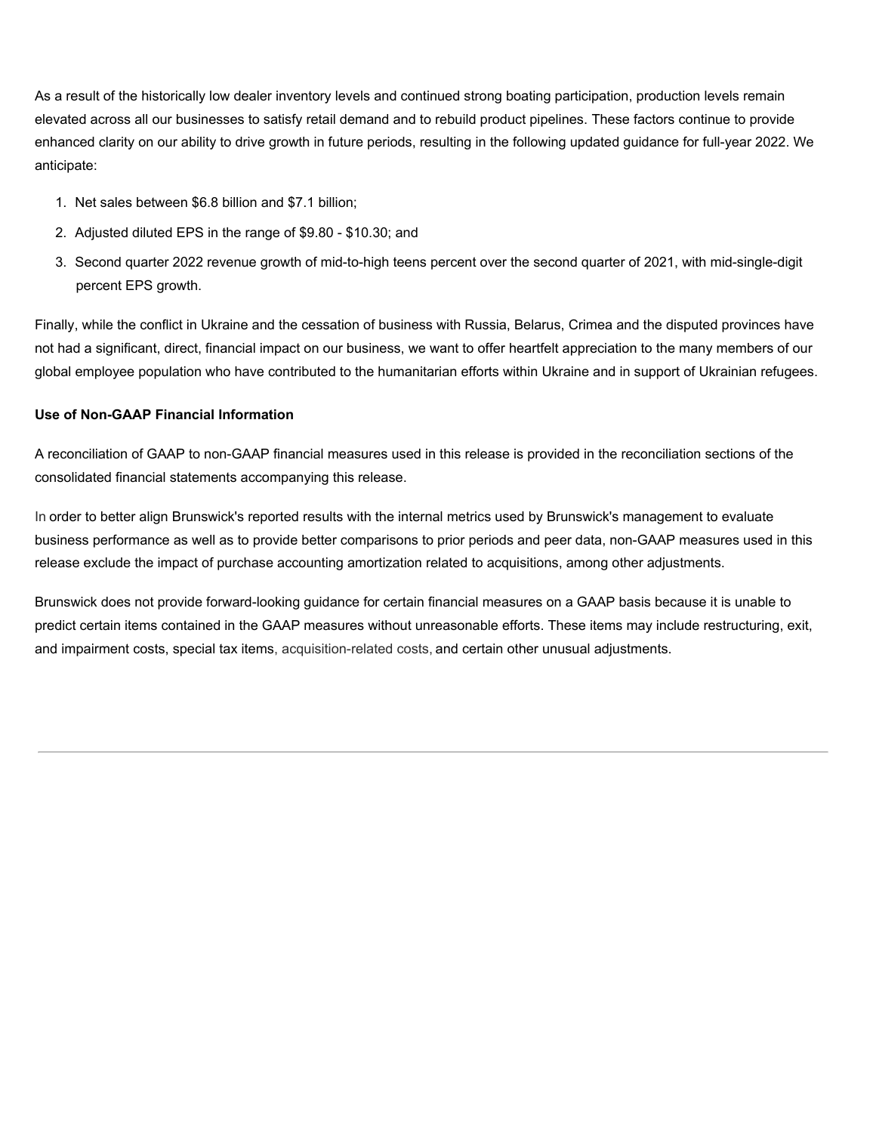As a result of the historically low dealer inventory levels and continued strong boating participation, production levels remain elevated across all our businesses to satisfy retail demand and to rebuild product pipelines. These factors continue to provide enhanced clarity on our ability to drive growth in future periods, resulting in the following updated guidance for full-year 2022. We anticipate:

- 1. Net sales between \$6.8 billion and \$7.1 billion;
- 2. Adjusted diluted EPS in the range of \$9.80 \$10.30; and
- 3. Second quarter 2022 revenue growth of mid-to-high teens percent over the second quarter of 2021, with mid-single-digit percent EPS growth.

Finally, while the conflict in Ukraine and the cessation of business with Russia, Belarus, Crimea and the disputed provinces have not had a significant, direct, financial impact on our business, we want to offer heartfelt appreciation to the many members of our global employee population who have contributed to the humanitarian efforts within Ukraine and in support of Ukrainian refugees.

## **Use of Non-GAAP Financial Information**

A reconciliation of GAAP to non-GAAP financial measures used in this release is provided in the reconciliation sections of the consolidated financial statements accompanying this release.

In order to better align Brunswick's reported results with the internal metrics used by Brunswick's management to evaluate business performance as well as to provide better comparisons to prior periods and peer data, non-GAAP measures used in this release exclude the impact of purchase accounting amortization related to acquisitions, among other adjustments.

Brunswick does not provide forward-looking guidance for certain financial measures on a GAAP basis because it is unable to predict certain items contained in the GAAP measures without unreasonable efforts. These items may include restructuring, exit, and impairment costs, special tax items, acquisition-related costs, and certain other unusual adjustments.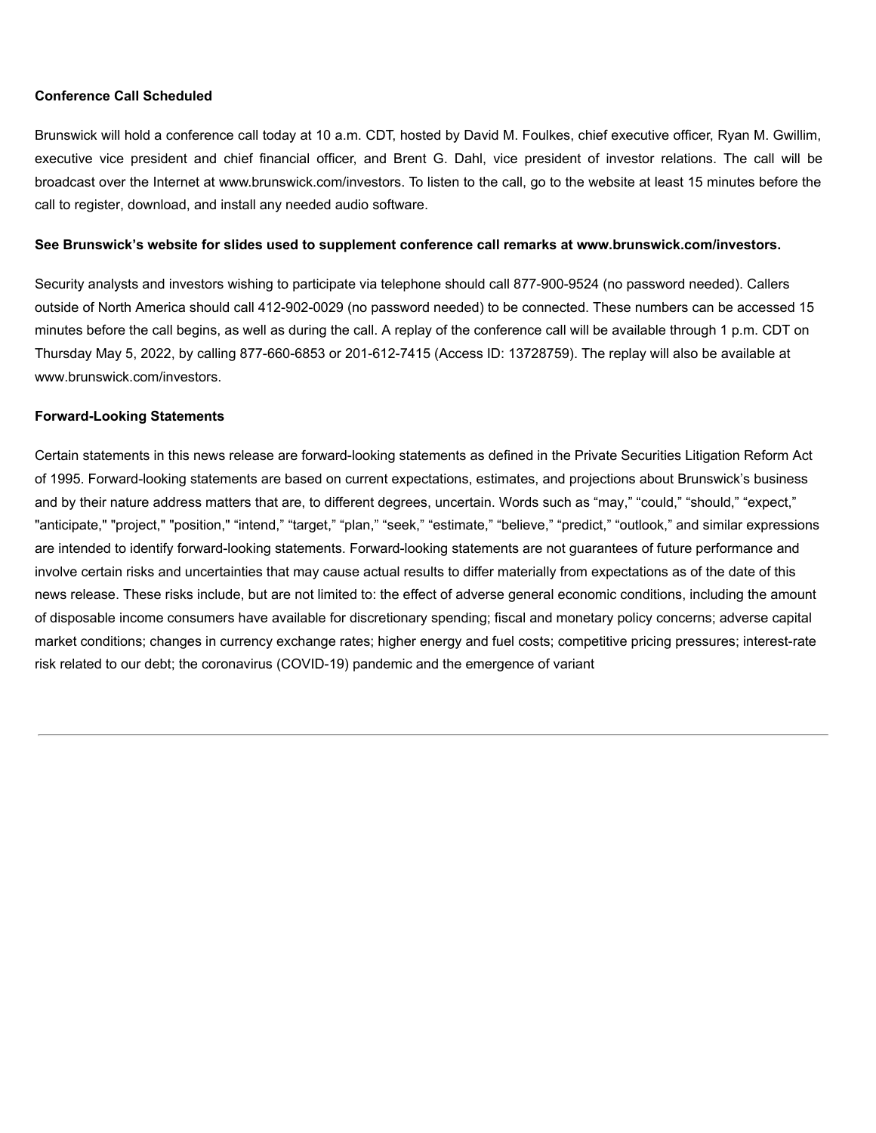## **Conference Call Scheduled**

Brunswick will hold a conference call today at 10 a.m. CDT, hosted by David M. Foulkes, chief executive officer, Ryan M. Gwillim, executive vice president and chief financial officer, and Brent G. Dahl, vice president of investor relations. The call will be broadcast over the Internet at www.brunswick.com/investors. To listen to the call, go to the website at least 15 minutes before the call to register, download, and install any needed audio software.

## **See Brunswick's website for slides used to supplement conference call remarks at www.brunswick.com/investors.**

Security analysts and investors wishing to participate via telephone should call 877-900-9524 (no password needed). Callers outside of North America should call 412-902-0029 (no password needed) to be connected. These numbers can be accessed 15 minutes before the call begins, as well as during the call. A replay of the conference call will be available through 1 p.m. CDT on Thursday May 5, 2022, by calling 877-660-6853 or 201-612-7415 (Access ID: 13728759). The replay will also be available at www.brunswick.com/investors.

## **Forward-Looking Statements**

Certain statements in this news release are forward-looking statements as defined in the Private Securities Litigation Reform Act of 1995. Forward-looking statements are based on current expectations, estimates, and projections about Brunswick's business and by their nature address matters that are, to different degrees, uncertain. Words such as "may," "could," "should," "expect," "anticipate," "project," "position," "intend," "target," "plan," "seek," "estimate," "believe," "predict," "outlook," and similar expressions are intended to identify forward-looking statements. Forward-looking statements are not guarantees of future performance and involve certain risks and uncertainties that may cause actual results to differ materially from expectations as of the date of this news release. These risks include, but are not limited to: the effect of adverse general economic conditions, including the amount of disposable income consumers have available for discretionary spending; fiscal and monetary policy concerns; adverse capital market conditions; changes in currency exchange rates; higher energy and fuel costs; competitive pricing pressures; interest-rate risk related to our debt; the coronavirus (COVID-19) pandemic and the emergence of variant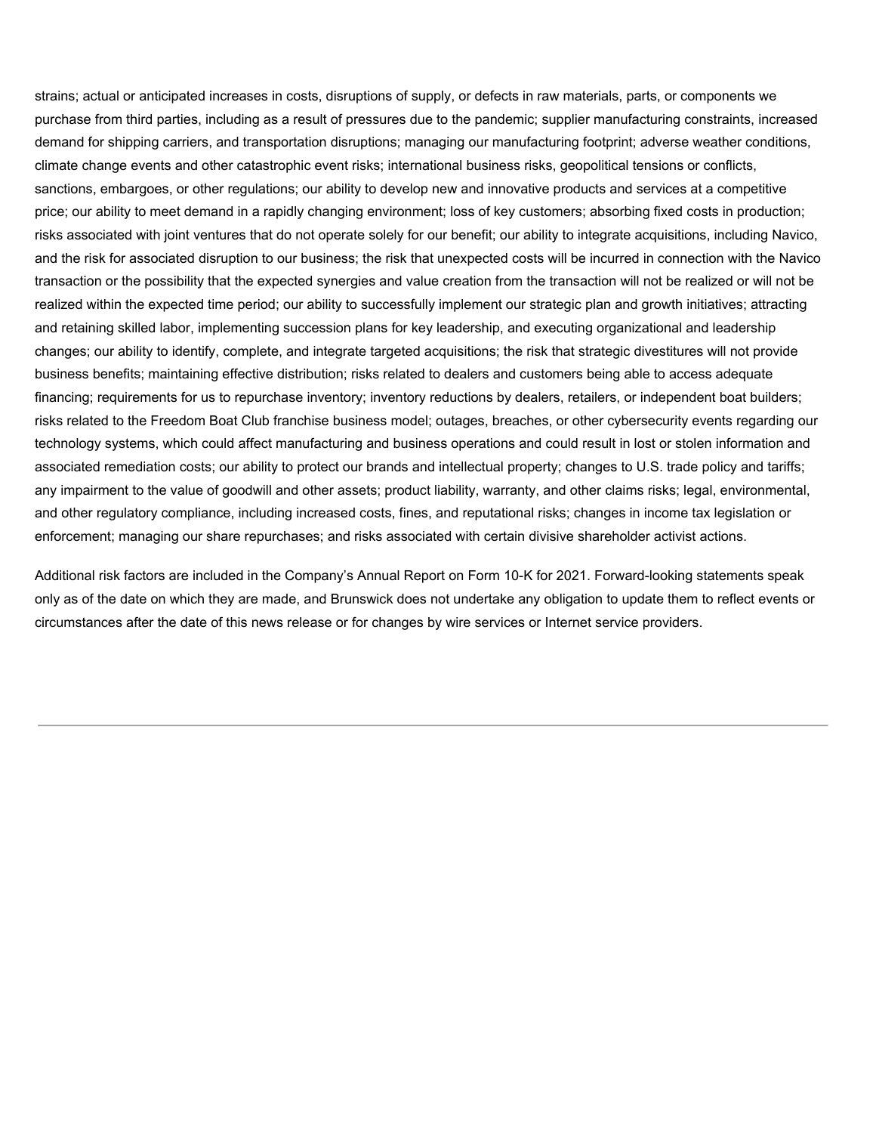<span id="page-10-0"></span>strains; actual or anticipated increases in costs, disruptions of supply, or defects in raw materials, parts, or components we purchase from third parties, including as a result of pressures due to the pandemic; supplier manufacturing constraints, increased demand for shipping carriers, and transportation disruptions; managing our manufacturing footprint; adverse weather conditions, climate change events and other catastrophic event risks; international business risks, geopolitical tensions or conflicts, sanctions, embargoes, or other regulations; our ability to develop new and innovative products and services at a competitive price; our ability to meet demand in a rapidly changing environment; loss of key customers; absorbing fixed costs in production; risks associated with joint ventures that do not operate solely for our benefit; our ability to integrate acquisitions, including Navico, and the risk for associated disruption to our business; the risk that unexpected costs will be incurred in connection with the Navico transaction or the possibility that the expected synergies and value creation from the transaction will not be realized or will not be realized within the expected time period; our ability to successfully implement our strategic plan and growth initiatives; attracting and retaining skilled labor, implementing succession plans for key leadership, and executing organizational and leadership changes; our ability to identify, complete, and integrate targeted acquisitions; the risk that strategic divestitures will not provide business benefits; maintaining effective distribution; risks related to dealers and customers being able to access adequate financing; requirements for us to repurchase inventory; inventory reductions by dealers, retailers, or independent boat builders; risks related to the Freedom Boat Club franchise business model; outages, breaches, or other cybersecurity events regarding our technology systems, which could affect manufacturing and business operations and could result in lost or stolen information and associated remediation costs; our ability to protect our brands and intellectual property; changes to U.S. trade policy and tariffs; any impairment to the value of goodwill and other assets; product liability, warranty, and other claims risks; legal, environmental, and other regulatory compliance, including increased costs, fines, and reputational risks; changes in income tax legislation or enforcement; managing our share repurchases; and risks associated with certain divisive shareholder activist actions.

Additional risk factors are included in the Company's Annual Report on Form 10-K for 2021. Forward-looking statements speak only as of the date on which they are made, and Brunswick does not undertake any obligation to update them to reflect events or circumstances after the date of this news release or for changes by wire services or Internet service providers.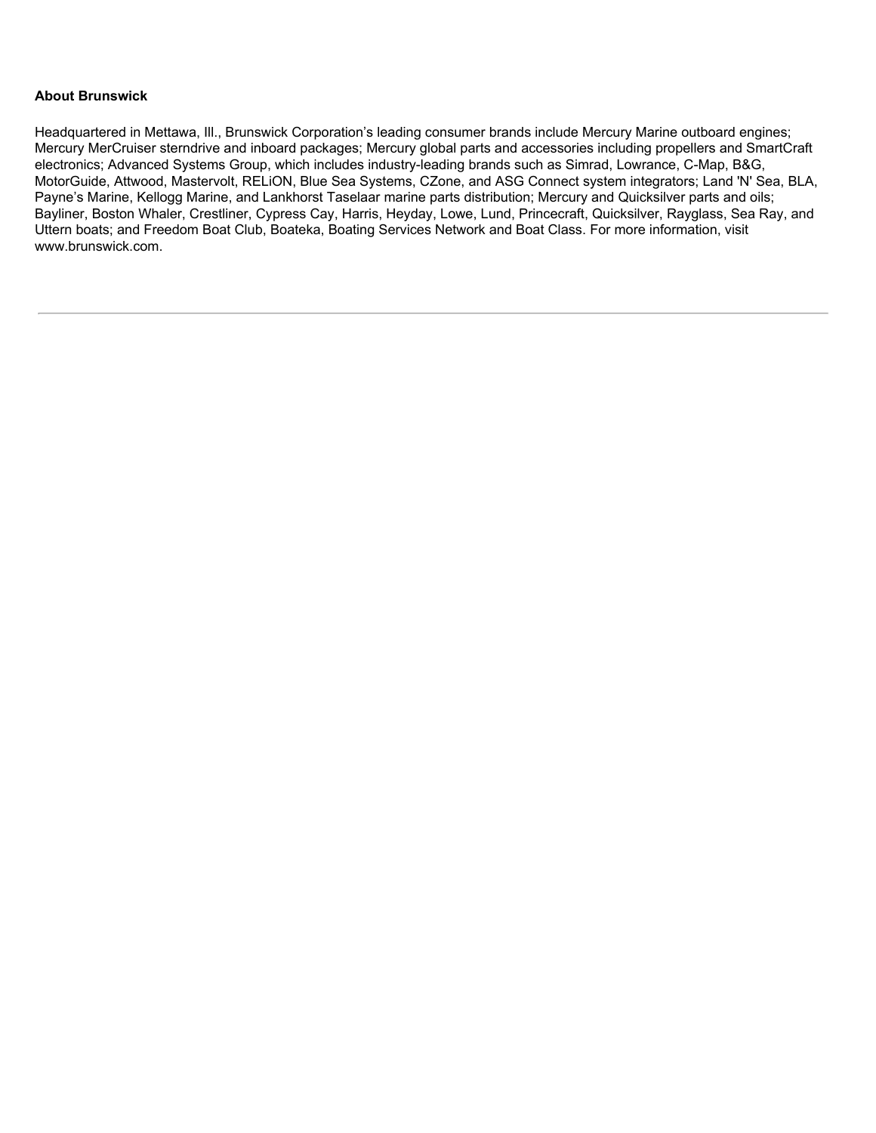## **About Brunswick**

Headquartered in Mettawa, Ill., Brunswick Corporation's leading consumer brands include Mercury Marine outboard engines; Mercury MerCruiser sterndrive and inboard packages; Mercury global parts and accessories including propellers and SmartCraft electronics; Advanced Systems Group, which includes industry-leading brands such as Simrad, Lowrance, C-Map, B&G, MotorGuide, Attwood, Mastervolt, RELiON, Blue Sea Systems, CZone, and ASG Connect system integrators; Land 'N' Sea, BLA, Payne's Marine, Kellogg Marine, and Lankhorst Taselaar marine parts distribution; Mercury and Quicksilver parts and oils; Bayliner, Boston Whaler, Crestliner, Cypress Cay, Harris, Heyday, Lowe, Lund, Princecraft, Quicksilver, Rayglass, Sea Ray, and Uttern boats; and Freedom Boat Club, Boateka, Boating Services Network and Boat Class. For more information, visit www.brunswick.com.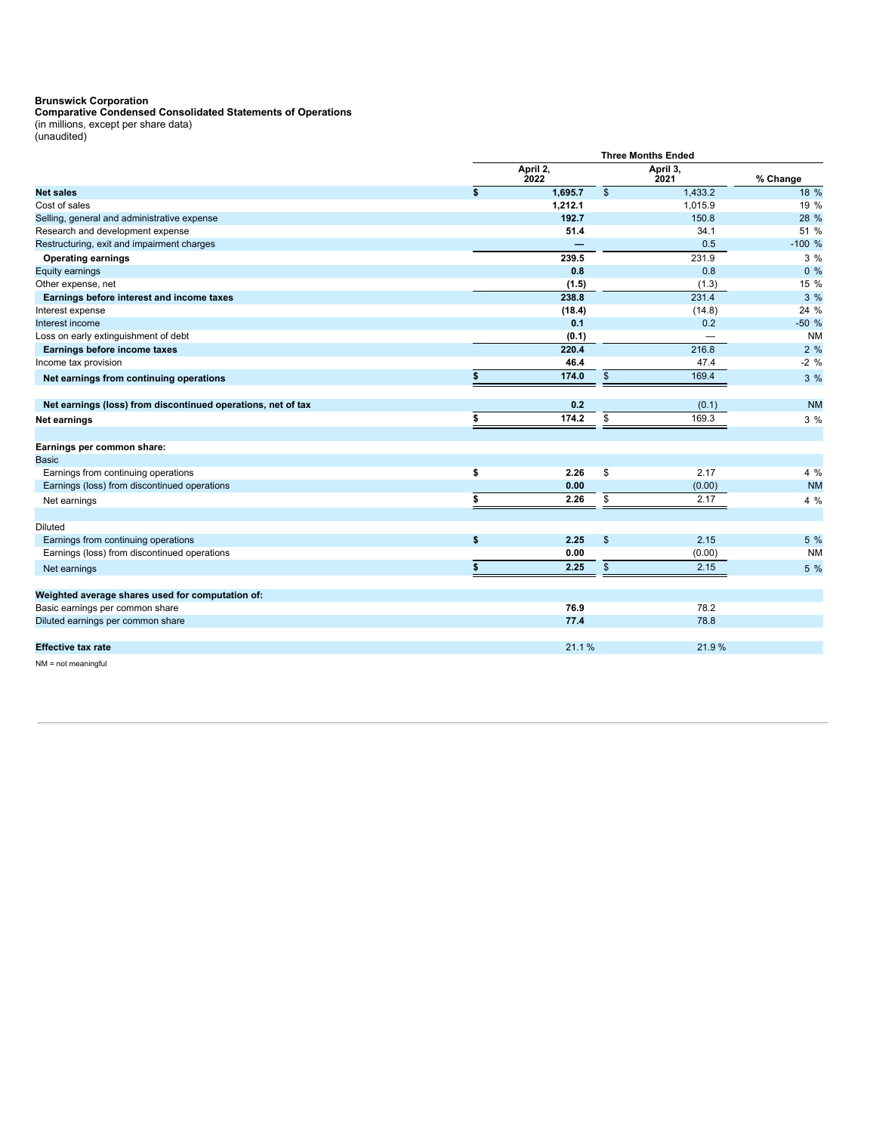#### **Comparative Condensed Consolidated Statements of Operations**

(in millions, except per share data) (unaudited)

|                                                              | <b>Three Months Ended</b> |                |                  |           |  |
|--------------------------------------------------------------|---------------------------|----------------|------------------|-----------|--|
|                                                              | April 2,<br>2022          |                | April 3,<br>2021 | % Change  |  |
| <b>Net sales</b>                                             | \$<br>1.695.7             | $\mathbb{S}$   | 1.433.2          | 18 %      |  |
| Cost of sales                                                | 1,212.1                   |                | 1.015.9          | 19 %      |  |
| Selling, general and administrative expense                  | 192.7                     |                | 150.8            | 28 %      |  |
| Research and development expense                             | 51.4                      |                | 34.1             | 51 %      |  |
| Restructuring, exit and impairment charges                   |                           |                | 0.5              | $-100%$   |  |
| <b>Operating earnings</b>                                    | 239.5                     |                | 231.9            | 3%        |  |
| Equity earnings                                              | 0.8                       |                | 0.8              | $0\%$     |  |
| Other expense, net                                           | (1.5)                     |                | (1.3)            | 15 %      |  |
| Earnings before interest and income taxes                    | 238.8                     |                | 231.4            | 3%        |  |
| Interest expense                                             | (18.4)                    |                | (14.8)           | 24 %      |  |
| Interest income                                              | 0.1                       |                | 0.2              | $-50%$    |  |
| Loss on early extinguishment of debt                         | (0.1)                     |                |                  | <b>NM</b> |  |
| Earnings before income taxes                                 | 220.4                     |                | 216.8            | 2%        |  |
| Income tax provision                                         | 46.4                      |                | 47.4             | $-2$ %    |  |
| Net earnings from continuing operations                      | \$<br>174.0               | $\mathsf{\$}$  | 169.4            | 3%        |  |
| Net earnings (loss) from discontinued operations, net of tax | 0.2                       |                | (0.1)            | <b>NM</b> |  |
| Net earnings                                                 | \$<br>174.2               | \$             | 169.3            | $3\%$     |  |
| Earnings per common share:                                   |                           |                |                  |           |  |
| <b>Basic</b>                                                 |                           |                |                  |           |  |
| Earnings from continuing operations                          | \$<br>2.26                | \$             | 2.17             | 4 %       |  |
| Earnings (loss) from discontinued operations                 | 0.00                      |                | (0.00)           | <b>NM</b> |  |
| Net earnings                                                 | \$<br>2.26                | \$             | 2.17             | 4 %       |  |
| <b>Diluted</b>                                               |                           |                |                  |           |  |
| Earnings from continuing operations                          | \$<br>2.25                | $\mathfrak{S}$ | 2.15             | 5 %       |  |
| Earnings (loss) from discontinued operations                 | 0.00                      |                | (0.00)           | <b>NM</b> |  |
| Net earnings                                                 | \$<br>2.25                | $\mathfrak{S}$ | 2.15             | 5 %       |  |
|                                                              |                           |                |                  |           |  |
| Weighted average shares used for computation of:             |                           |                |                  |           |  |
| Basic earnings per common share                              | 76.9                      |                | 78.2             |           |  |
| Diluted earnings per common share                            | 77.4                      |                | 78.8             |           |  |
| <b>Effective tax rate</b>                                    | 21.1%                     |                | 21.9%            |           |  |
| $NM = not meaningful$                                        |                           |                |                  |           |  |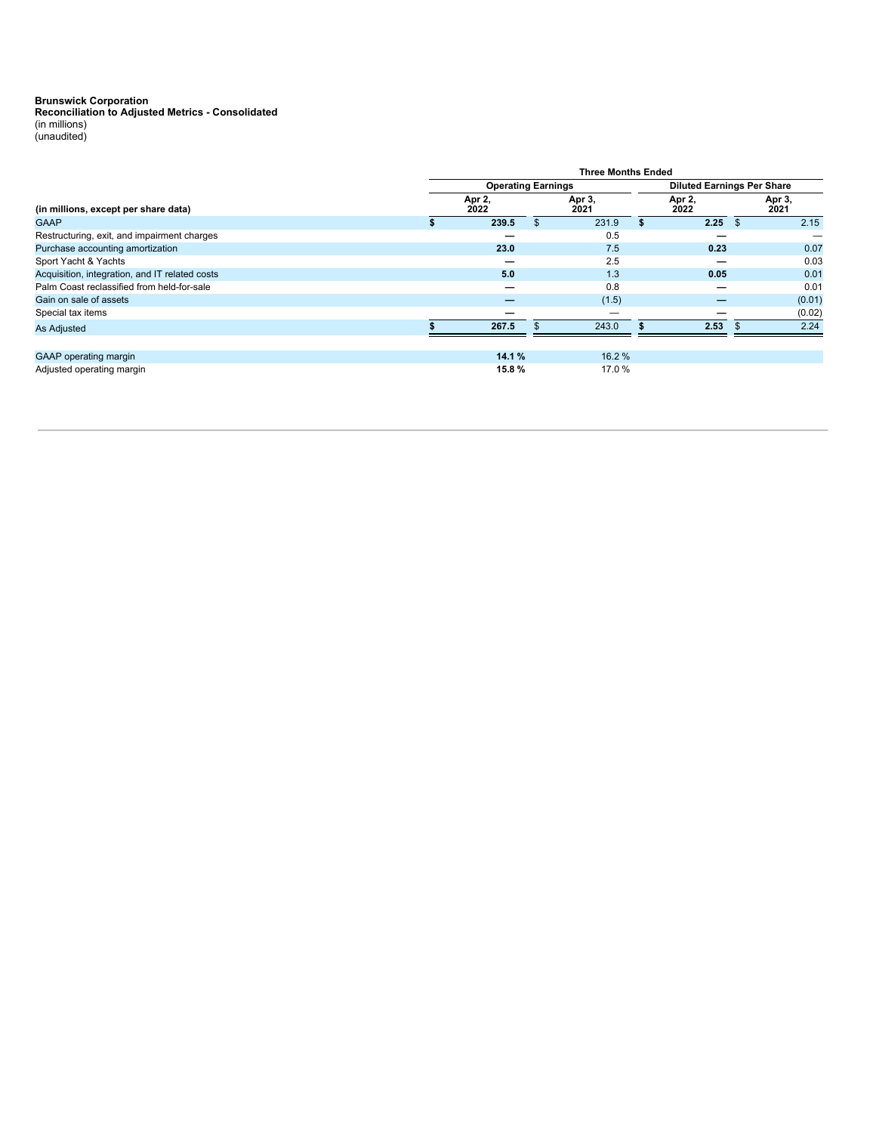**Reconciliation to Adjusted Metrics - Consolidated** (in millions) (unaudited)

|                                                | <b>Three Months Ended</b> |                           |                                   |                |  |                |     |                |  |  |
|------------------------------------------------|---------------------------|---------------------------|-----------------------------------|----------------|--|----------------|-----|----------------|--|--|
|                                                |                           | <b>Operating Earnings</b> | <b>Diluted Earnings Per Share</b> |                |  |                |     |                |  |  |
| (in millions, except per share data)           |                           | Apr 2,<br>2022            |                                   | Apr 3,<br>2021 |  | Apr 2,<br>2022 |     | Apr 3,<br>2021 |  |  |
| <b>GAAP</b>                                    |                           | 239.5                     |                                   | 231.9          |  | 2.25           | \$  | 2.15           |  |  |
| Restructuring, exit, and impairment charges    |                           |                           |                                   | 0.5            |  |                |     |                |  |  |
| Purchase accounting amortization               |                           | 23.0                      |                                   | 7.5            |  | 0.23           |     | 0.07           |  |  |
| Sport Yacht & Yachts                           |                           |                           |                                   | 2.5            |  |                |     | 0.03           |  |  |
| Acquisition, integration, and IT related costs |                           | 5.0                       |                                   | 1.3            |  | 0.05           |     | 0.01           |  |  |
| Palm Coast reclassified from held-for-sale     |                           |                           |                                   | 0.8            |  |                |     | 0.01           |  |  |
| Gain on sale of assets                         |                           |                           |                                   | (1.5)          |  |                |     | (0.01)         |  |  |
| Special tax items                              |                           |                           |                                   |                |  |                |     | (0.02)         |  |  |
| As Adjusted                                    |                           | 267.5                     |                                   | 243.0          |  | 2.53           | -96 | 2.24           |  |  |
|                                                |                           |                           |                                   |                |  |                |     |                |  |  |
| <b>GAAP</b> operating margin                   |                           | 14.1%                     |                                   | 16.2%          |  |                |     |                |  |  |
| Adjusted operating margin                      |                           | 15.8%                     |                                   | 17.0%          |  |                |     |                |  |  |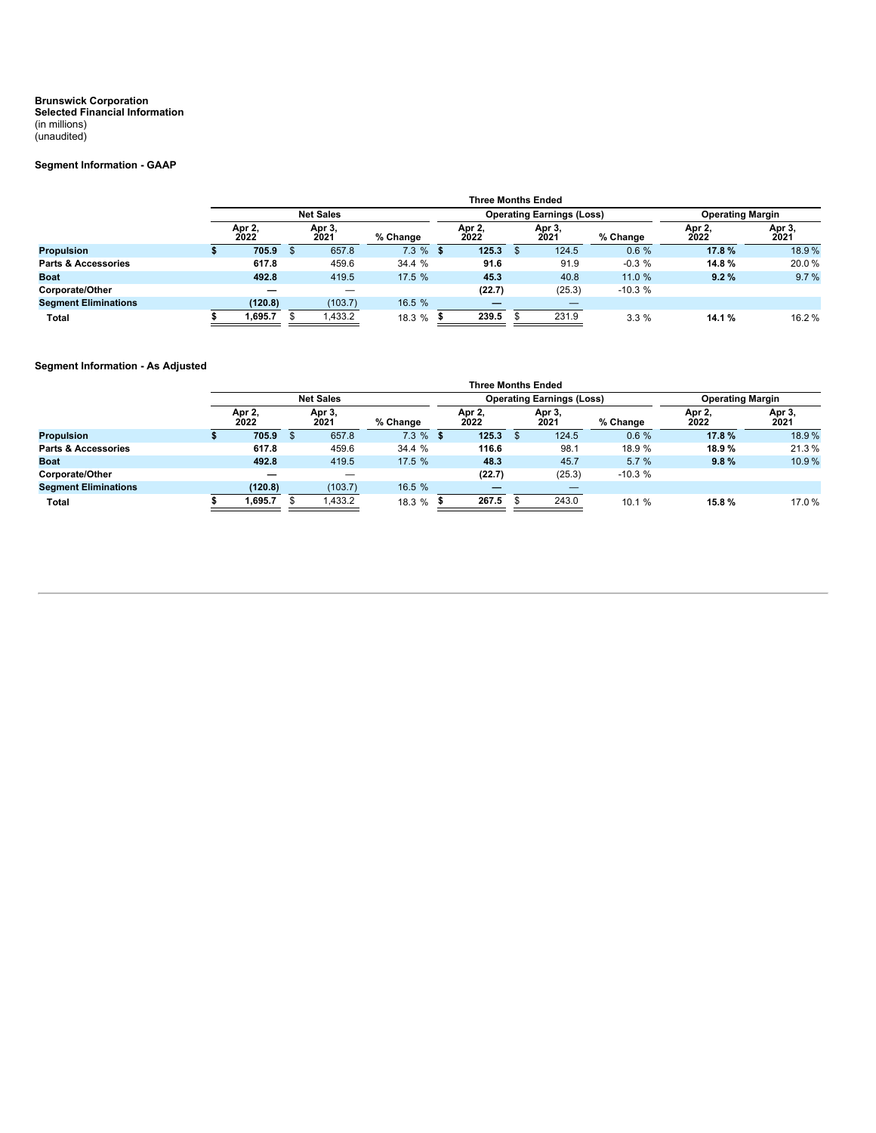#### **Brunswick Corporation Selected Financial Information** (in millions) (unaudited)

## **Segment Information - GAAP**

|                                |                  |  |                |             | <b>Three Months Ended</b> |                                  |          |                         |                |
|--------------------------------|------------------|--|----------------|-------------|---------------------------|----------------------------------|----------|-------------------------|----------------|
|                                | <b>Net Sales</b> |  |                |             |                           | <b>Operating Earnings (Loss)</b> |          | <b>Operating Margin</b> |                |
|                                | Apr 2,<br>2022   |  | Apr 3,<br>2021 | % Change    | Apr 2,<br>2022            | Apr 3,<br>2021                   | % Change | Apr 2,<br>2022          | Apr 3,<br>2021 |
| <b>Propulsion</b>              | 705.9            |  | 657.8          | $7.3 \%$ \$ | 125.3                     | 124.5                            | 0.6%     | 17.8%                   | 18.9%          |
| <b>Parts &amp; Accessories</b> | 617.8            |  | 459.6          | 34.4 %      | 91.6                      | 91.9                             | $-0.3%$  | 14.8%                   | 20.0%          |
| <b>Boat</b>                    | 492.8            |  | 419.5          | 17.5%       | 45.3                      | 40.8                             | 11.0 %   | 9.2%                    | 9.7%           |
| Corporate/Other                | –                |  |                |             | (22.7)                    | (25.3)                           | $-10.3%$ |                         |                |
| <b>Segment Eliminations</b>    | (120.8)          |  | (103.7)        | 16.5 %      | –                         |                                  |          |                         |                |
| Total                          | 1,695.7          |  | 1,433.2        | 18.3 %      | 239.5                     | 231.9                            | 3.3%     | 14.1%                   | 16.2%          |

#### **Segment Information - As Adjusted**

|                                | <b>Three Months Ended</b> |    |                |             |  |                |  |                                  |          |                         |                |  |
|--------------------------------|---------------------------|----|----------------|-------------|--|----------------|--|----------------------------------|----------|-------------------------|----------------|--|
|                                | <b>Net Sales</b>          |    |                |             |  |                |  | <b>Operating Earnings (Loss)</b> |          | <b>Operating Margin</b> |                |  |
|                                | Apr 2,<br>2022            |    | Apr 3,<br>2021 | % Change    |  | Apr 2,<br>2022 |  | Apr 3,<br>2021                   | % Change | Apr 2,<br>2022          | Apr 3,<br>2021 |  |
| <b>Propulsion</b>              | 705.9                     | 55 | 657.8          | $7.3 \%$ \$ |  | 125.3          |  | 124.5                            | 0.6%     | 17.8%                   | 18.9%          |  |
| <b>Parts &amp; Accessories</b> | 617.8                     |    | 459.6          | 34.4 %      |  | 116.6          |  | 98.1                             | 18.9 %   | 18.9%                   | 21.3%          |  |
| <b>Boat</b>                    | 492.8                     |    | 419.5          | 17.5%       |  | 48.3           |  | 45.7                             | 5.7%     | 9.8%                    | 10.9%          |  |
| <b>Corporate/Other</b>         | –                         |    |                |             |  | (22.7)         |  | (25.3)                           | $-10.3%$ |                         |                |  |
| <b>Segment Eliminations</b>    | (120.8)                   |    | (103.7)        | 16.5 %      |  |                |  |                                  |          |                         |                |  |
| Total                          | 1,695.7                   |    | 1,433.2        | 18.3 %      |  | 267.5          |  | 243.0                            | 10.1 %   | 15.8%                   | 17.0%          |  |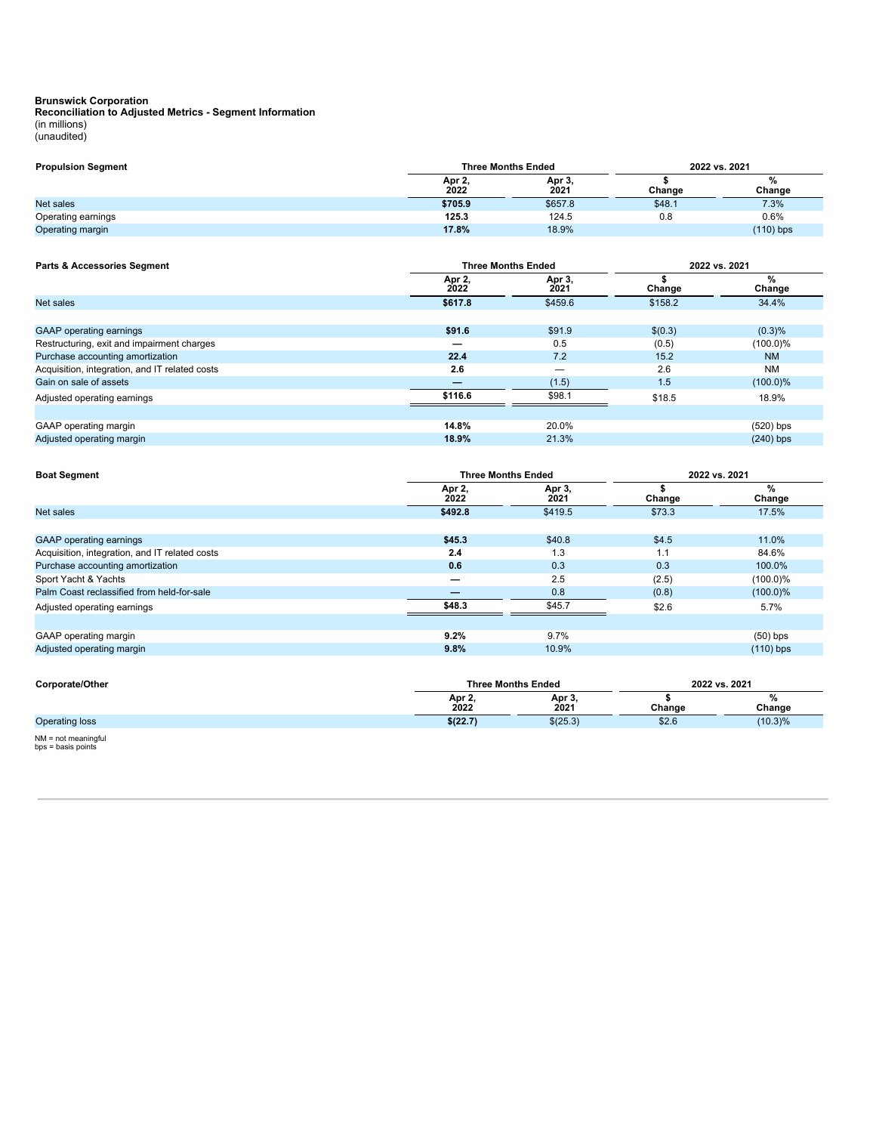**Reconciliation to Adjusted Metrics - Segment Information** (in millions) (unaudited)

| <b>Propulsion Segment</b> |                | <b>Three Months Ended</b> | 2022 vs. 2021 |                                   |  |
|---------------------------|----------------|---------------------------|---------------|-----------------------------------|--|
|                           | Apr 2,<br>2022 | Apr 3,<br>2021            | Change        | $\mathbf{O}/\mathbf{D}$<br>Change |  |
| Net sales                 | \$705.9        | \$657.8                   | \$48.1        | 7.3%                              |  |
| Operating earnings        | 125.3          | 124.5                     | 0.8           | 0.6%                              |  |
| Operating margin          | 17.8%          | 18.9%                     |               | $(110)$ bps                       |  |

| <b>Parts &amp; Accessories Segment</b>         |                | <b>Three Months Ended</b> | 2022 vs. 2021 |                |  |
|------------------------------------------------|----------------|---------------------------|---------------|----------------|--|
|                                                | Apr 2,<br>2022 | Apr 3,<br>2021            | Change        | $\%$<br>Change |  |
| Net sales                                      | \$617.8        | \$459.6                   | \$158.2       | 34.4%          |  |
|                                                |                |                           |               |                |  |
| <b>GAAP</b> operating earnings                 | \$91.6         | \$91.9                    | \$(0.3)       | (0.3)%         |  |
| Restructuring, exit and impairment charges     | –              | 0.5                       | (0.5)         | $(100.0)\%$    |  |
| Purchase accounting amortization               | 22.4           | 7.2                       | 15.2          | <b>NM</b>      |  |
| Acquisition, integration, and IT related costs | 2.6            |                           | 2.6           | <b>NM</b>      |  |
| Gain on sale of assets                         | –              | (1.5)                     | 1.5           | $(100.0)\%$    |  |
| Adjusted operating earnings                    | \$116.6        | \$98.1                    | \$18.5        | 18.9%          |  |
|                                                |                |                           |               |                |  |
| GAAP operating margin                          | 14.8%          | 20.0%                     |               | $(520)$ bps    |  |
| Adjusted operating margin                      | 18.9%          | 21.3%                     |               | $(240)$ bps    |  |

| <b>Boat Segment</b>                            |                | <b>Three Months Ended</b> | 2022 vs. 2021 |             |  |
|------------------------------------------------|----------------|---------------------------|---------------|-------------|--|
|                                                | Apr 2,<br>2022 | Apr 3,<br>2021            | Change        | %<br>Change |  |
| <b>Net sales</b>                               | \$492.8        | \$419.5                   | \$73.3        | 17.5%       |  |
|                                                |                |                           |               |             |  |
| <b>GAAP</b> operating earnings                 | \$45.3         | \$40.8                    | \$4.5         | 11.0%       |  |
| Acquisition, integration, and IT related costs | 2.4            | 1.3                       | 1.1           | 84.6%       |  |
| Purchase accounting amortization               | 0.6            | 0.3                       | 0.3           | 100.0%      |  |
| Sport Yacht & Yachts                           |                | 2.5                       | (2.5)         | $(100.0)\%$ |  |
| Palm Coast reclassified from held-for-sale     |                | 0.8                       | (0.8)         | $(100.0)\%$ |  |
| Adjusted operating earnings                    | \$48.3         | \$45.7                    | \$2.6         | 5.7%        |  |
|                                                |                |                           |               |             |  |
| GAAP operating margin                          | 9.2%           | 9.7%                      |               | $(50)$ bps  |  |
| Adjusted operating margin                      | 9.8%           | 10.9%                     |               | $(110)$ bps |  |

| Corporate/Other       | <b>Three Months Ended</b> |                | 2022 vs. 2021 |            |  |
|-----------------------|---------------------------|----------------|---------------|------------|--|
|                       | Apr 2,<br>2022            | Apr 3.<br>2021 | Change        | Change     |  |
| <b>Operating loss</b> | \$(22.7)                  | \$(25.3)       | \$2.6         | $(10.3)\%$ |  |

NM = not meaningful bps = basis points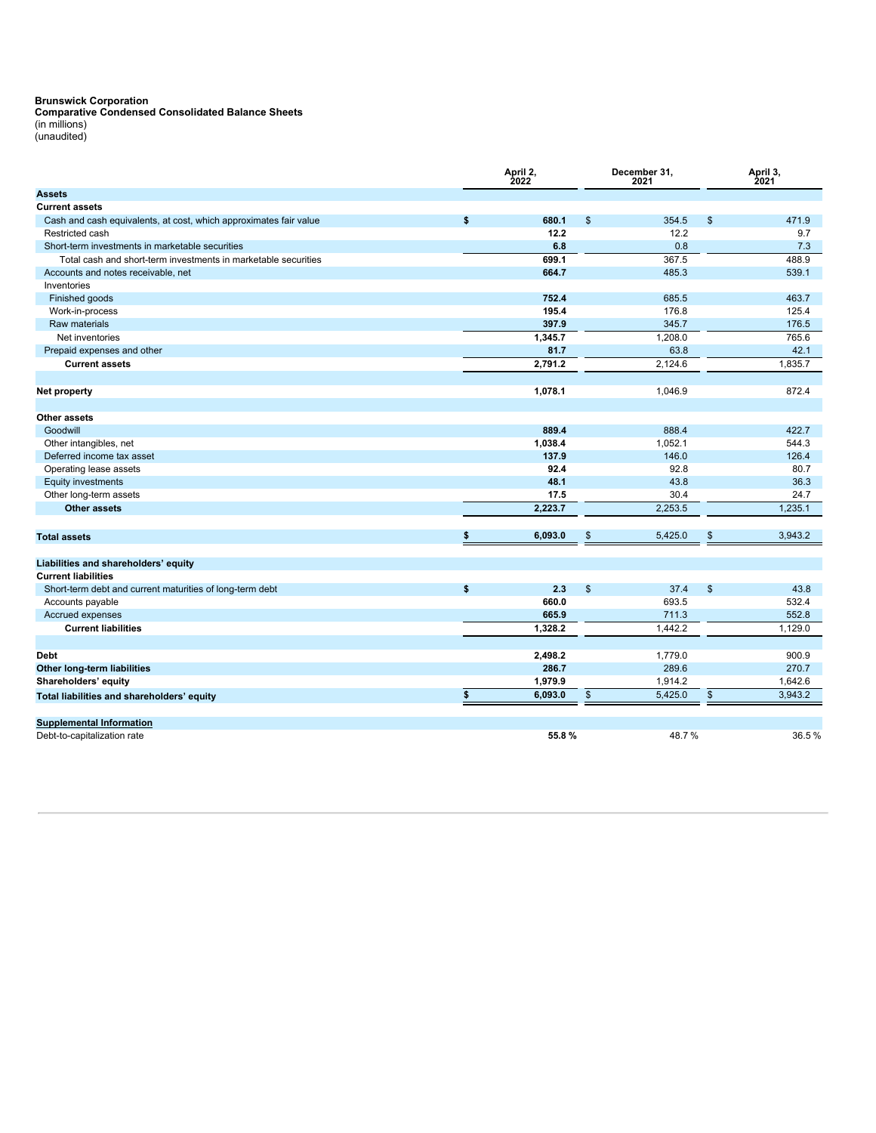**Comparative Condensed Consolidated Balance Sheets** (in millions)

(unaudited)

|                                                                   | April 2,<br>2022 |         | December 31,<br>2021    |         |                | April 3,<br>2021 |  |  |
|-------------------------------------------------------------------|------------------|---------|-------------------------|---------|----------------|------------------|--|--|
| <b>Assets</b>                                                     |                  |         |                         |         |                |                  |  |  |
| <b>Current assets</b>                                             |                  |         |                         |         |                |                  |  |  |
| Cash and cash equivalents, at cost, which approximates fair value | \$               | 680.1   | $\sqrt[6]{\frac{1}{2}}$ | 354.5   | \$             | 471.9            |  |  |
| Restricted cash                                                   |                  | 12.2    |                         | 12.2    |                | 9.7              |  |  |
| Short-term investments in marketable securities                   |                  | 6.8     |                         | 0.8     |                | 7.3              |  |  |
| Total cash and short-term investments in marketable securities    |                  | 699.1   |                         | 367.5   |                | 488.9            |  |  |
| Accounts and notes receivable, net                                |                  | 664.7   |                         | 485.3   |                | 539.1            |  |  |
| Inventories                                                       |                  |         |                         |         |                |                  |  |  |
| Finished goods                                                    |                  | 752.4   |                         | 685.5   |                | 463.7            |  |  |
| Work-in-process                                                   |                  | 195.4   |                         | 176.8   |                | 125.4            |  |  |
| Raw materials                                                     |                  | 397.9   |                         | 345.7   |                | 176.5            |  |  |
| Net inventories                                                   |                  | 1,345.7 |                         | 1,208.0 |                | 765.6            |  |  |
| Prepaid expenses and other                                        |                  | 81.7    |                         | 63.8    |                | 42.1             |  |  |
| <b>Current assets</b>                                             |                  | 2,791.2 |                         | 2,124.6 |                | 1,835.7          |  |  |
|                                                                   |                  |         |                         |         |                |                  |  |  |
| Net property                                                      |                  | 1,078.1 |                         | 1,046.9 |                | 872.4            |  |  |
|                                                                   |                  |         |                         |         |                |                  |  |  |
| Other assets                                                      |                  |         |                         |         |                |                  |  |  |
| Goodwill                                                          |                  | 889.4   |                         | 888.4   |                | 422.7            |  |  |
| Other intangibles, net                                            |                  | 1,038.4 |                         | 1,052.1 |                | 544.3            |  |  |
| Deferred income tax asset                                         |                  | 137.9   |                         | 146.0   |                | 126.4            |  |  |
| Operating lease assets                                            |                  | 92.4    |                         | 92.8    |                | 80.7             |  |  |
| <b>Equity investments</b>                                         |                  | 48.1    |                         | 43.8    |                | 36.3             |  |  |
| Other long-term assets                                            |                  | 17.5    |                         | 30.4    |                | 24.7             |  |  |
| <b>Other assets</b>                                               |                  | 2,223.7 |                         | 2,253.5 |                | 1,235.1          |  |  |
|                                                                   |                  |         |                         |         |                |                  |  |  |
| <b>Total assets</b>                                               | \$               | 6,093.0 | \$                      | 5,425.0 | \$             | 3,943.2          |  |  |
|                                                                   |                  |         |                         |         |                |                  |  |  |
| Liabilities and shareholders' equity                              |                  |         |                         |         |                |                  |  |  |
| <b>Current liabilities</b>                                        |                  |         |                         |         |                |                  |  |  |
| Short-term debt and current maturities of long-term debt          | \$               | 2.3     | $\sqrt[6]{\frac{1}{2}}$ | 37.4    | \$             | 43.8             |  |  |
| Accounts payable                                                  |                  | 660.0   |                         | 693.5   |                | 532.4            |  |  |
| Accrued expenses                                                  |                  | 665.9   |                         | 711.3   |                | 552.8            |  |  |
| <b>Current liabilities</b>                                        |                  | 1,328.2 |                         | 1,442.2 |                | 1,129.0          |  |  |
|                                                                   |                  |         |                         |         |                |                  |  |  |
| <b>Debt</b>                                                       |                  | 2,498.2 |                         | 1,779.0 |                | 900.9            |  |  |
| Other long-term liabilities                                       |                  | 286.7   |                         | 289.6   |                | 270.7            |  |  |
| Shareholders' equity                                              |                  | 1,979.9 |                         | 1,914.2 |                | 1,642.6          |  |  |
| Total liabilities and shareholders' equity                        | \$               | 6,093.0 | $\sqrt[6]{\frac{1}{2}}$ | 5,425.0 | $$\mathbb{S}$$ | 3,943.2          |  |  |
| <b>Supplemental Information</b>                                   |                  |         |                         |         |                |                  |  |  |
|                                                                   |                  | 55.8%   |                         | 48.7%   |                | 36.5%            |  |  |
| Debt-to-capitalization rate                                       |                  |         |                         |         |                |                  |  |  |